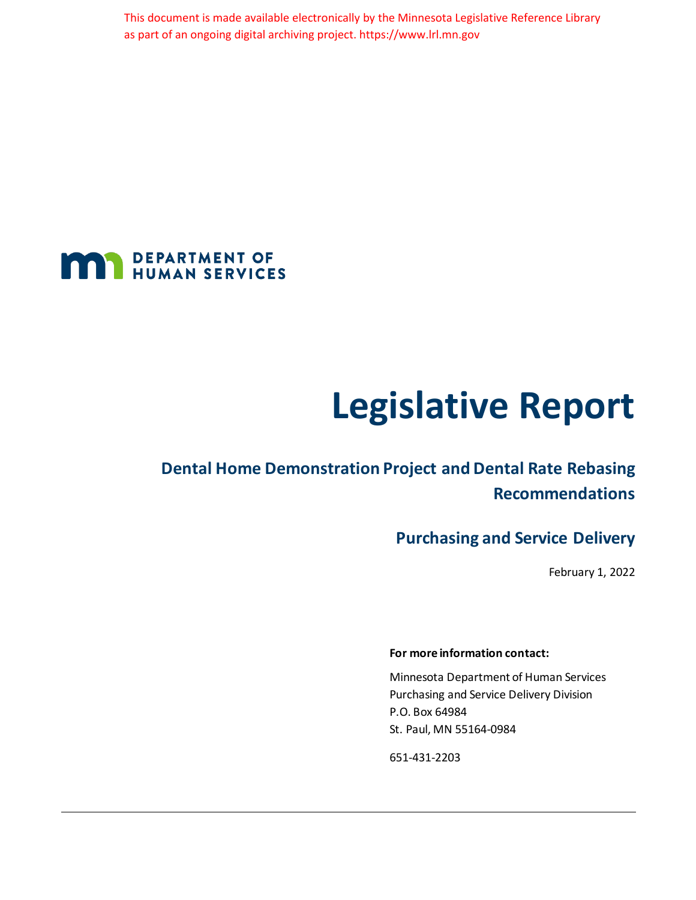This document is made available electronically by the Minnesota Legislative Reference Library as part of an ongoing digital archiving project. https://www.lrl.mn.gov



# **Legislative Report**

## **Dental Home Demonstration Project and Dental Rate Rebasing Recommendations**

## **Purchasing and Service Delivery**

February 1, 2022

#### **For more information contact:**

Minnesota Department of Human Services Purchasing and Service Delivery Division P.O. Box 64984 St. Paul, MN 55164-0984

651-431-2203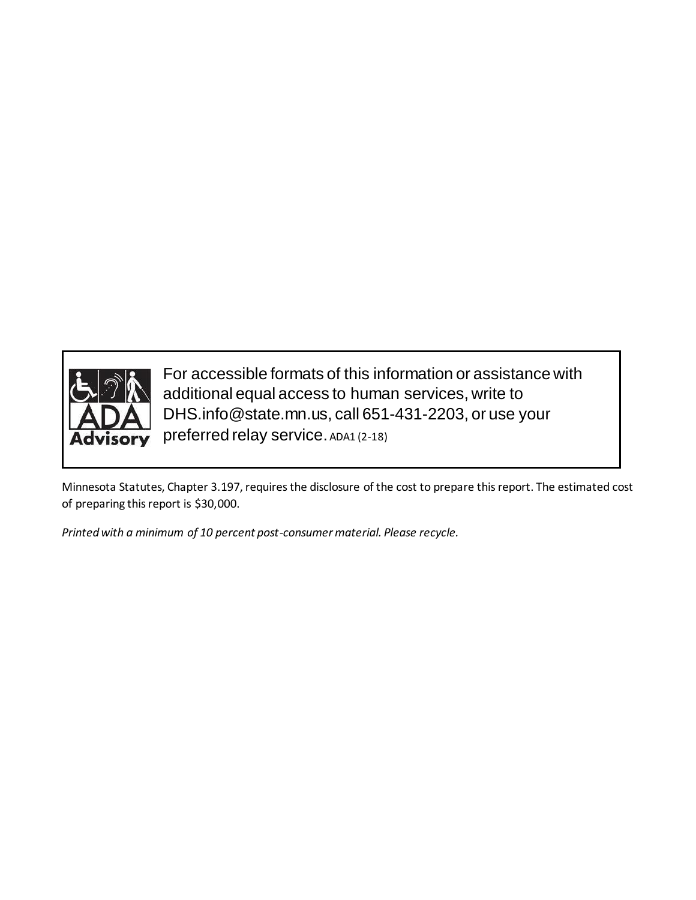

For accessible formats of this information or assistance with additional equal access to human services, write to DHS.info@state.mn.us, call 651-431-2203, or use your preferred relay service. ADA1 (2-18)

Minnesota Statutes, Chapter 3.197, requires the disclosure of the cost to prepare this report. The estimated cost of preparing this report is \$30,000.

*Printed with a minimum of 10 percent post-consumer material. Please recycle.*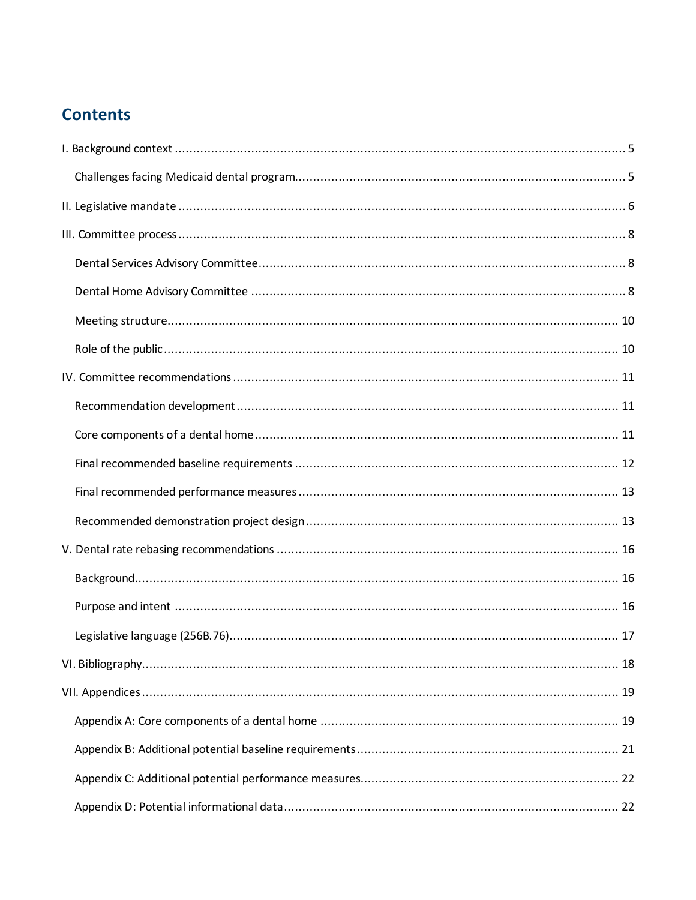## **Contents**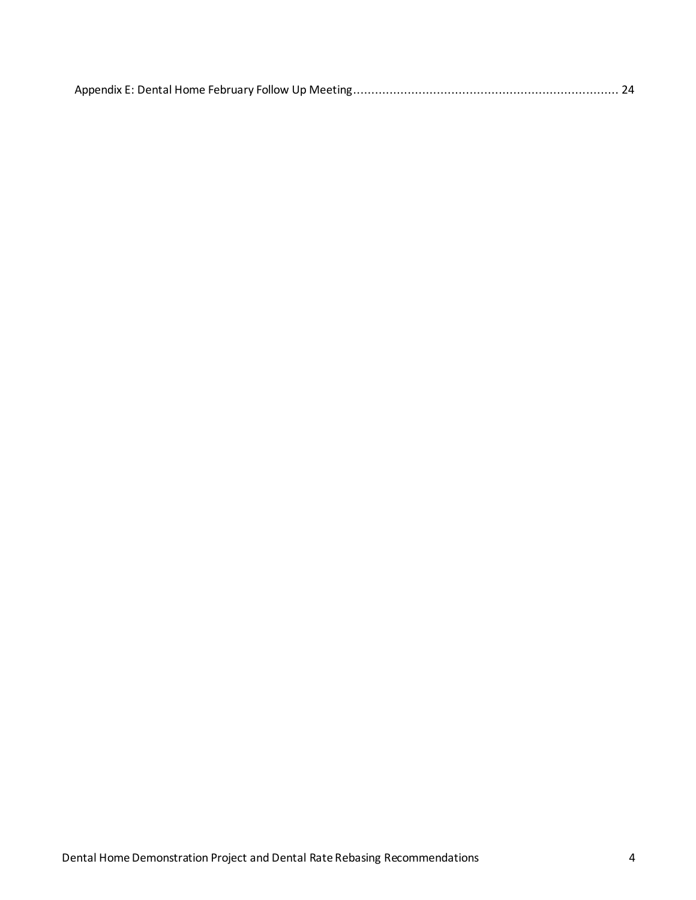|--|--|--|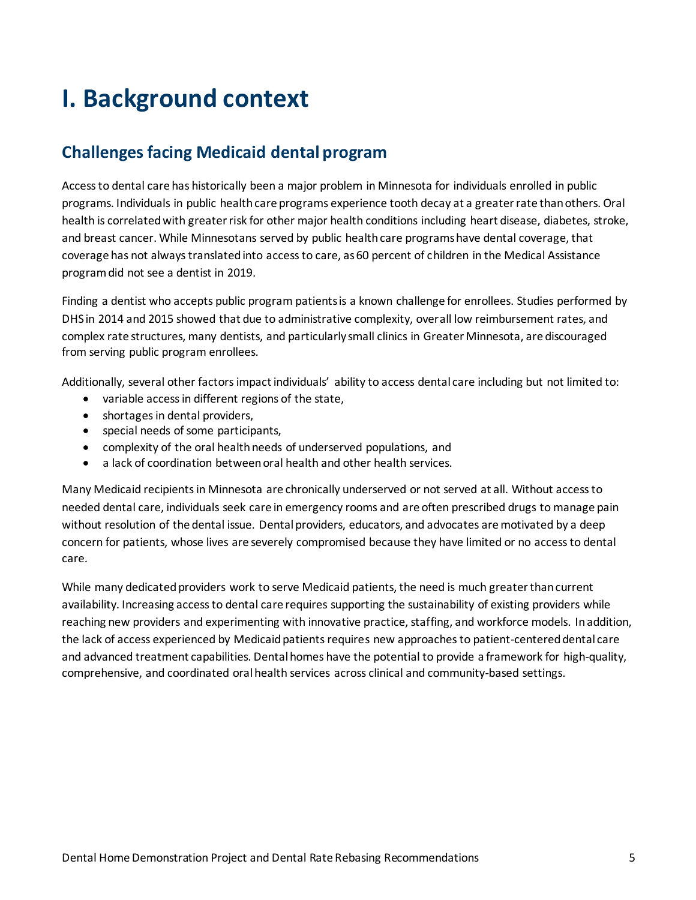## <span id="page-4-0"></span>**I. Background context**

## <span id="page-4-1"></span>**Challenges facing Medicaid dental program**

Access to dental care has historically been a major problem in Minnesota for individuals enrolled in public programs. Individuals in public health care programs experience tooth decay at a greater rate than others. Oral health is correlated with greater risk for other major health conditions including heart disease, diabetes, stroke, and breast cancer. While Minnesotans served by public health care programs have dental coverage, that coverage has not always translated into access to care, as 60 percent of children in the Medical Assistance program did not see a dentist in 2019.

Finding a dentist who accepts public program patients is a known challenge for enrollees. Studies performed by DHS in 2014 and 2015 showed that due to administrative complexity, overall low reimbursement rates, and complex rate structures, many dentists, and particularly small clinics in Greater Minnesota, are discouraged from serving public program enrollees.

Additionally, several other factors impact individuals' ability to access dental care including but not limited to:

- variable access in different regions of the state,
- shortages in dental providers,
- special needs of some participants,
- complexity of the oral health needs of underserved populations, and
- a lack of coordination between oral health and other health services.

Many Medicaid recipients in Minnesota are chronically underserved or not served at all. Without access to needed dental care, individuals seek care in emergency rooms and are often prescribed drugs to manage pain without resolution of the dental issue. Dental providers, educators, and advocates are motivated by a deep concern for patients, whose lives are severely compromised because they have limited or no access to dental care.

While many dedicated providers work to serve Medicaid patients, the need is much greater than current availability. Increasing access to dental care requires supporting the sustainability of existing providers while reaching new providers and experimenting with innovative practice, staffing, and workforce models. In addition, the lack of access experienced by Medicaid patients requires new approaches to patient-centered dental care and advanced treatment capabilities. Dental homes have the potential to provide a framework for high-quality, comprehensive, and coordinated oral health services across clinical and community-based settings.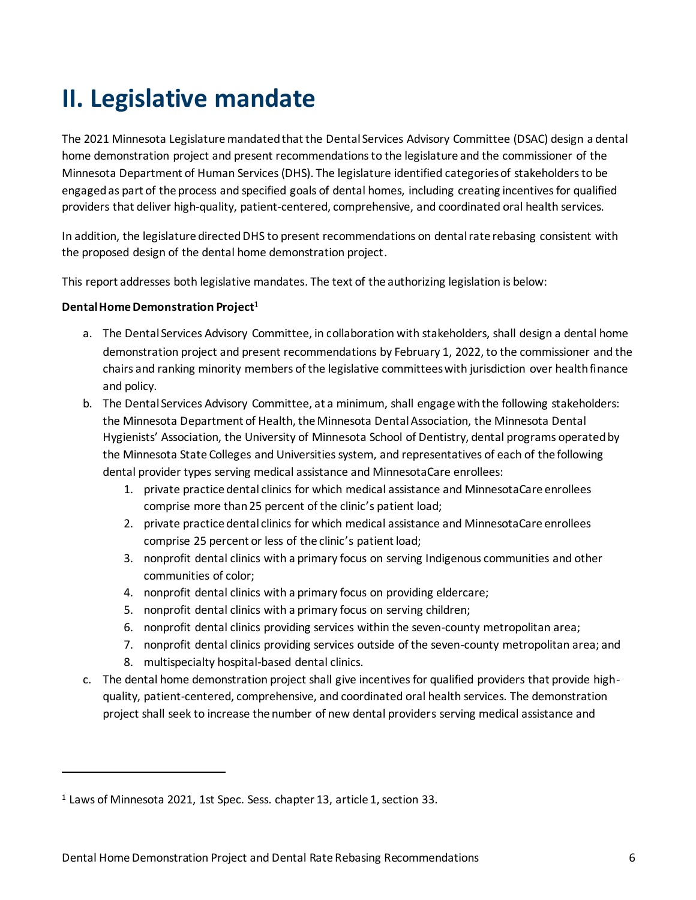## <span id="page-5-0"></span>**II. Legislative mandate**

The 2021 Minnesota Legislature mandated that the Dental Services Advisory Committee (DSAC) design a dental home demonstration project and present recommendations to the legislature and the commissioner of the Minnesota Department of Human Services(DHS). The legislature identified categories of stakeholders to be engaged as part of the process and specified goals of dental homes, including creating incentives for qualified providers that deliver high-quality, patient-centered, comprehensive, and coordinated oral health services.

In addition, the legislature directed DHS to present recommendations on dental rate rebasing consistent with the proposed design of the dental home demonstration project.

This report addresses both legislative mandates. The text of the authorizing legislation is below:

#### **Dental Home Demonstration Project**<sup>1</sup>

1

- a. The Dental Services Advisory Committee, in collaboration with stakeholders, shall design a dental home demonstration project and present recommendations by February 1, 2022, to the commissioner and the chairs and ranking minority members of the legislative committees with jurisdiction over health finance and policy.
- b. The Dental Services Advisory Committee, at a minimum, shall engage with the following stakeholders: the Minnesota Department of Health, the Minnesota Dental Association, the Minnesota Dental Hygienists' Association, the University of Minnesota School of Dentistry, dental programs operated by the Minnesota State Colleges and Universities system, and representatives of each of the following dental provider types serving medical assistance and MinnesotaCare enrollees:
	- 1. private practice dental clinics for which medical assistance and MinnesotaCare enrollees comprise more than 25 percent of the clinic's patient load;
	- 2. private practice dental clinics for which medical assistance and MinnesotaCare enrollees comprise 25 percent or less of the clinic's patient load;
	- 3. nonprofit dental clinics with a primary focus on serving Indigenous communities and other communities of color;
	- 4. nonprofit dental clinics with a primary focus on providing eldercare;
	- 5. nonprofit dental clinics with a primary focus on serving children;
	- 6. nonprofit dental clinics providing services within the seven-county metropolitan area;
	- 7. nonprofit dental clinics providing services outside of the seven-county metropolitan area; and
	- 8. multispecialty hospital-based dental clinics.
- c. The dental home demonstration project shall give incentives for qualified providers that provide highquality, patient-centered, comprehensive, and coordinated oral health services. The demonstration project shall seek to increase the number of new dental providers serving medical assistance and

<sup>1</sup> Laws of Minnesota 2021, 1st Spec. Sess. chapter 13, article 1, section 33.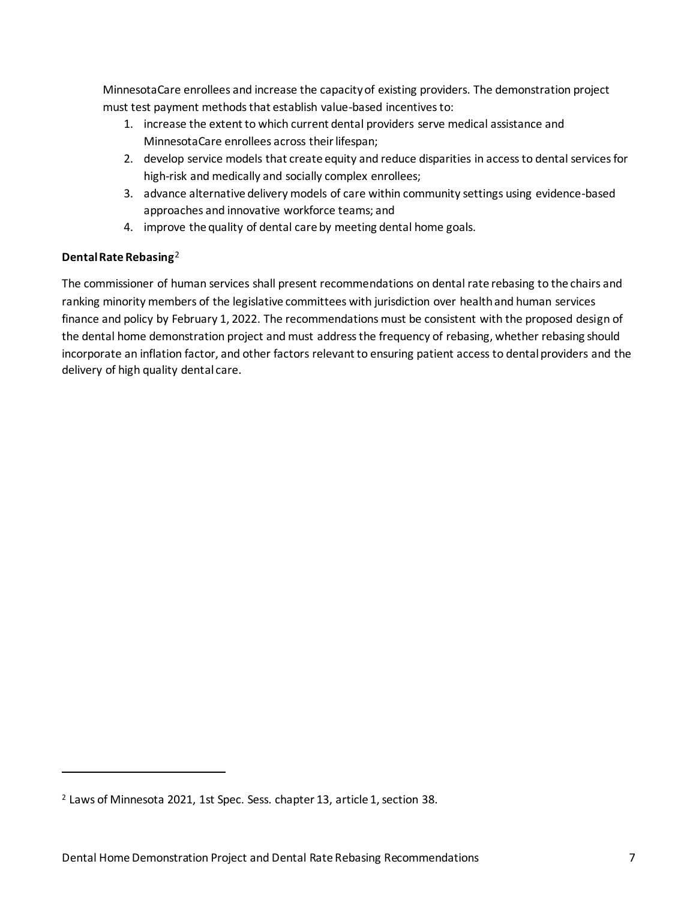MinnesotaCare enrollees and increase the capacity of existing providers. The demonstration project must test payment methods that establish value-based incentives to:

- 1. increase the extent to which current dental providers serve medical assistance and MinnesotaCare enrollees across their lifespan;
- 2. develop service models that create equity and reduce disparities in access to dental services for high-risk and medically and socially complex enrollees;
- 3. advance alternative delivery models of care within community settings using evidence-based approaches and innovative workforce teams; and
- 4. improve the quality of dental care by meeting dental home goals.

### **Dental Rate Rebasing**<sup>2</sup>

1

The commissioner of human services shall present recommendations on dental rate rebasing to the chairs and ranking minority members of the legislative committees with jurisdiction over health and human services finance and policy by February 1, 2022. The recommendations must be consistent with the proposed design of the dental home demonstration project and must address the frequency of rebasing, whether rebasing should incorporate an inflation factor, and other factors relevant to ensuring patient access to dental providers and the delivery of high quality dental care.

<sup>2</sup> Laws of Minnesota 2021, 1st Spec. Sess. chapter 13, article 1, section 38.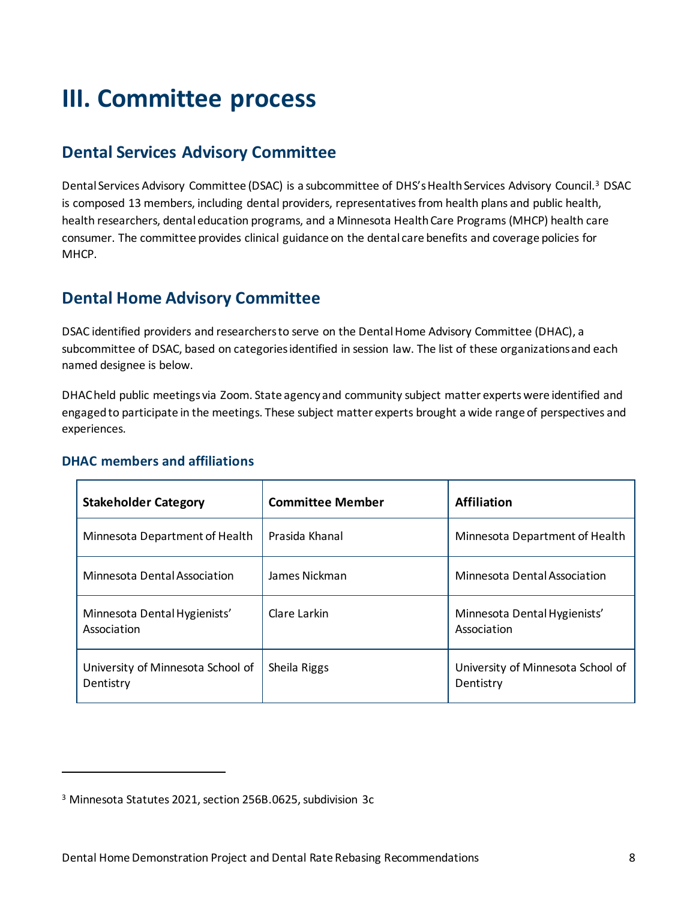## <span id="page-7-0"></span>**III. Committee process**

## <span id="page-7-1"></span>**Dental Services Advisory Committee**

Dental Services Advisory Committee (DSAC) is a subcommittee of DHS's Health Services Advisory Council.<sup>3</sup> DSAC is composed 13 members, including dental providers, representatives from health plans and public health, health researchers, dental education programs, and a Minnesota Health Care Programs (MHCP) health care consumer. The committee provides clinical guidance on the dental care benefits and coverage policies for MHCP.

## <span id="page-7-2"></span>**Dental Home Advisory Committee**

DSAC identified providers and researchers to serve on the Dental Home Advisory Committee (DHAC), a subcommittee of DSAC, based on categories identified in session law. The list of these organizations and each named designee is below.

DHAC held public meetings via Zoom. State agency and community subject matter experts were identified and engaged to participate in the meetings. These subject matter experts brought a wide range of perspectives and experiences.

| <b>Stakeholder Category</b>                    | <b>Committee Member</b> | <b>Affiliation</b>                             |
|------------------------------------------------|-------------------------|------------------------------------------------|
| Minnesota Department of Health                 | Prasida Khanal          | Minnesota Department of Health                 |
| Minnesota Dental Association                   | James Nickman           | Minnesota Dental Association                   |
| Minnesota Dental Hygienists'<br>Association    | Clare Larkin            | Minnesota Dental Hygienists'<br>Association    |
| University of Minnesota School of<br>Dentistry | Sheila Riggs            | University of Minnesota School of<br>Dentistry |

### **DHAC members and affiliations**

1

<sup>3</sup> Minnesota Statutes 2021, section 256B.0625, subdivision 3c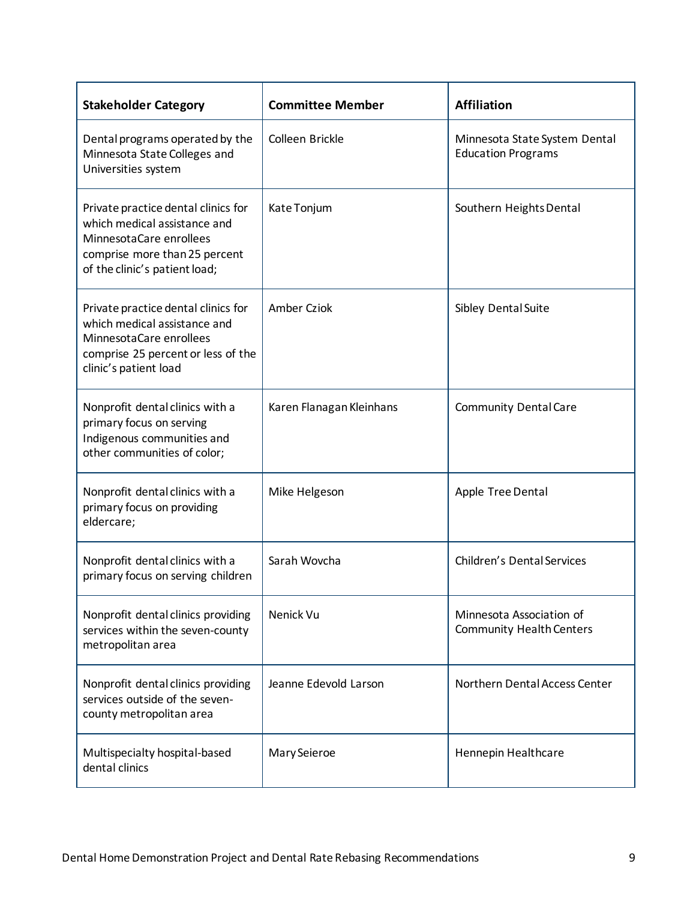| <b>Stakeholder Category</b>                                                                                                                                      | <b>Committee Member</b>  | <b>Affiliation</b>                                          |
|------------------------------------------------------------------------------------------------------------------------------------------------------------------|--------------------------|-------------------------------------------------------------|
| Dental programs operated by the<br>Minnesota State Colleges and<br>Universities system                                                                           | Colleen Brickle          | Minnesota State System Dental<br><b>Education Programs</b>  |
| Private practice dental clinics for<br>which medical assistance and<br>MinnesotaCare enrollees<br>comprise more than 25 percent<br>of the clinic's patient load; | Kate Tonjum              | Southern Heights Dental                                     |
| Private practice dental clinics for<br>which medical assistance and<br>Minnesota Care enrollees<br>comprise 25 percent or less of the<br>clinic's patient load   | Amber Cziok              | Sibley Dental Suite                                         |
| Nonprofit dental clinics with a<br>primary focus on serving<br>Indigenous communities and<br>other communities of color;                                         | Karen Flanagan Kleinhans | <b>Community Dental Care</b>                                |
| Nonprofit dental clinics with a<br>primary focus on providing<br>eldercare;                                                                                      | Mike Helgeson            | Apple Tree Dental                                           |
| Nonprofit dental clinics with a<br>primary focus on serving children                                                                                             | Sarah Wovcha             | <b>Children's Dental Services</b>                           |
| Nonprofit dental clinics providing<br>services within the seven-county<br>metropolitan area                                                                      | Nenick Vu                | Minnesota Association of<br><b>Community Health Centers</b> |
| Nonprofit dental clinics providing<br>services outside of the seven-<br>county metropolitan area                                                                 | Jeanne Edevold Larson    | Northern Dental Access Center                               |
| Multispecialty hospital-based<br>dental clinics                                                                                                                  | Mary Seieroe             | Hennepin Healthcare                                         |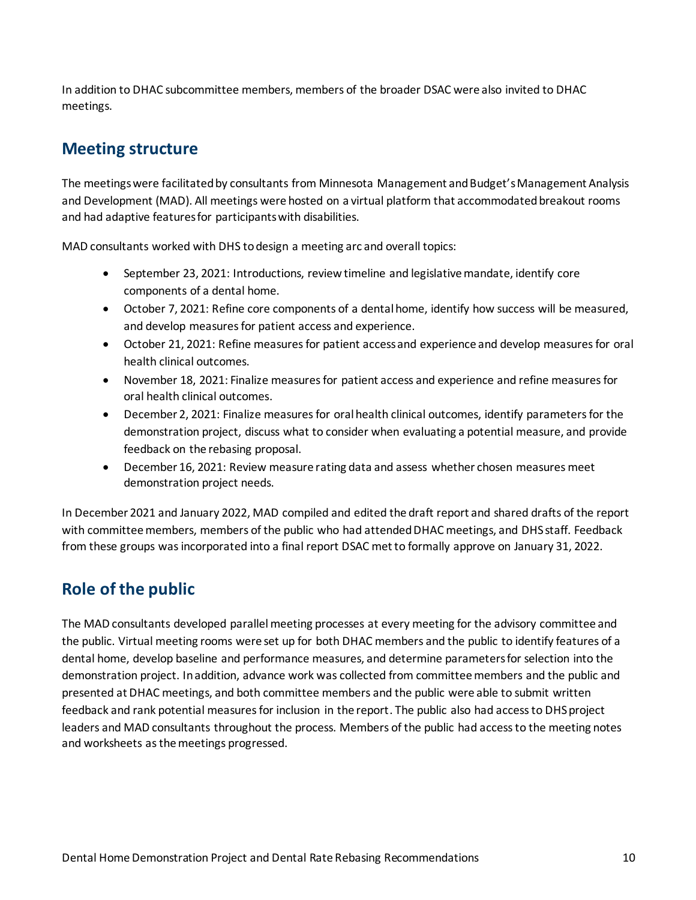In addition to DHAC subcommittee members, members of the broader DSAC were also invited to DHAC meetings.

## <span id="page-9-0"></span>**Meeting structure**

The meetings were facilitated by consultants from Minnesota Management and Budget's Management Analysis and Development (MAD). All meetings were hosted on a virtual platform that accommodated breakout rooms and had adaptive features for participants with disabilities.

MAD consultants worked with DHS to design a meeting arc and overall topics:

- September 23, 2021: Introductions, review timeline and legislative mandate, identify core components of a dental home.
- October 7, 2021: Refine core components of a dental home, identify how success will be measured, and develop measures for patient access and experience.
- October 21, 2021: Refine measures for patient access and experience and develop measures for oral health clinical outcomes.
- November 18, 2021: Finalize measures for patient access and experience and refine measures for oral health clinical outcomes.
- December 2, 2021: Finalize measures for oral health clinical outcomes, identify parametersfor the demonstration project, discuss what to consider when evaluating a potential measure, and provide feedback on the rebasing proposal.
- December 16, 2021: Review measure rating data and assess whether chosen measures meet demonstration project needs.

In December 2021 and January 2022, MAD compiled and edited the draft report and shared drafts of the report with committee members, members of the public who had attended DHAC meetings, and DHS staff. Feedback from these groups was incorporated into a final report DSAC met to formally approve on January 31, 2022.

## <span id="page-9-1"></span>**Role of the public**

The MAD consultants developed parallel meeting processes at every meeting for the advisory committee and the public. Virtual meeting rooms were set up for both DHAC members and the public to identify features of a dental home, develop baseline and performance measures, and determine parameters for selection into the demonstration project. In addition, advance work was collected from committee members and the public and presented at DHAC meetings, and both committee members and the public were able to submit written feedback and rank potential measures for inclusion in the report. The public also had access to DHS project leaders and MAD consultants throughout the process. Members of the public had access to the meeting notes and worksheets as the meetings progressed.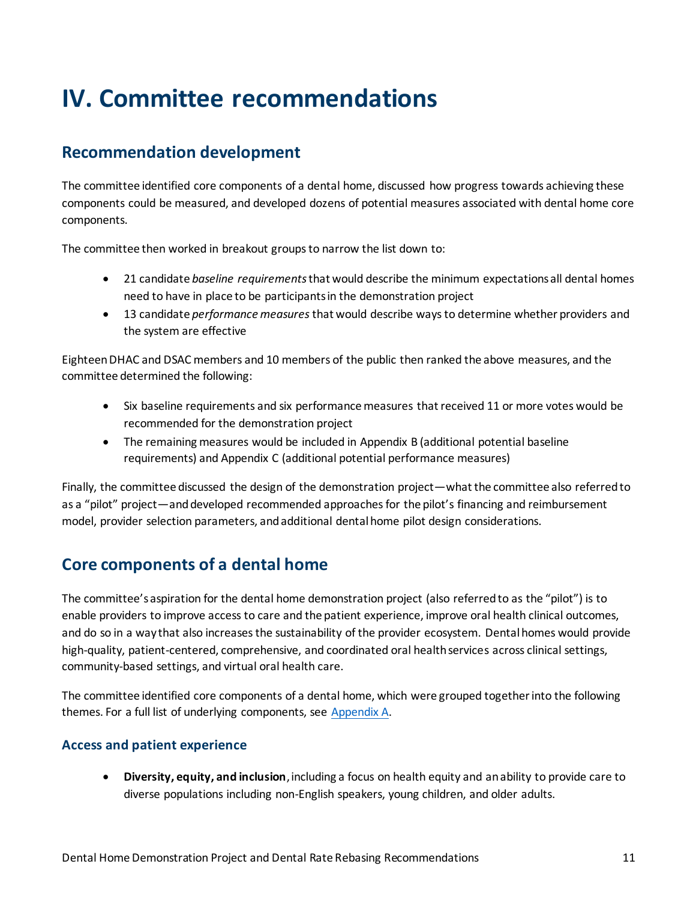## <span id="page-10-0"></span>**IV. Committee recommendations**

### <span id="page-10-1"></span>**Recommendation development**

The committee identified core components of a dental home, discussed how progress towards achieving these components could be measured, and developed dozens of potential measures associated with dental home core components.

The committee then worked in breakout groups to narrow the list down to:

- 21 candidate *baseline requirements*that would describe the minimum expectations all dental homes need to have in place to be participants in the demonstration project
- 13 candidate *performance measures* that would describe ways to determine whether providers and the system are effective

Eighteen DHAC and DSAC members and 10 members of the public then ranked the above measures, and the committee determined the following:

- Six baseline requirements and six performance measures that received 11 or more votes would be recommended for the demonstration project
- The remaining measures would be included in Appendix B (additional potential baseline requirements) and Appendix C (additional potential performance measures)

Finally, the committee discussed the design of the demonstration project—what the committee also referred to as a "pilot" project—and developed recommended approaches for the pilot's financing and reimbursement model, provider selection parameters, and additional dental home pilot design considerations.

## <span id="page-10-2"></span>**Core components of a dental home**

The committee's aspiration for the dental home demonstration project (also referred to as the "pilot") is to enable providers to improve access to care and the patient experience, improve oral health clinical outcomes, and do so in a way that also increases the sustainability of the provider ecosystem. Dental homes would provide high-quality, patient-centered, comprehensive, and coordinated oral health services across clinical settings, community-based settings, and virtual oral health care.

The committee identified core components of a dental home, which were grouped together into the following themes. For a full list of underlying components, see [Appendix A.](#page-18-1)

### **Access and patient experience**

 **Diversity, equity, and inclusion**, including a focus on health equity and an ability to provide care to diverse populations including non-English speakers, young children, and older adults.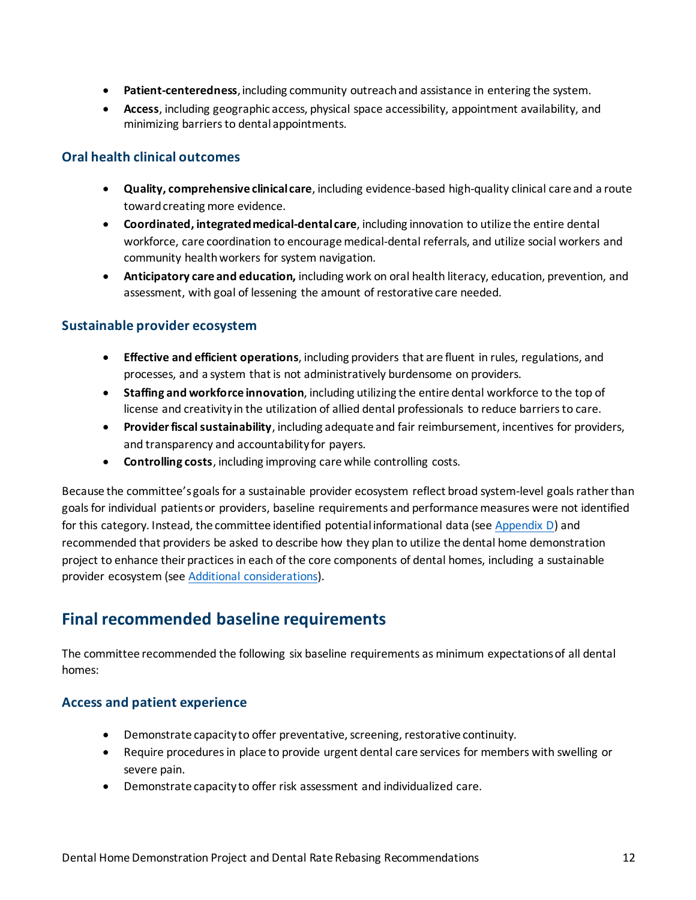- **Patient-centeredness**, including community outreach and assistance in entering the system.
- **Access**, including geographic access, physical space accessibility, appointment availability, and minimizing barriers to dental appointments.

### **Oral health clinical outcomes**

- **Quality, comprehensive clinical care**, including evidence-based high-quality clinical care and a route toward creating more evidence.
- **Coordinated, integrated medical-dental care**, including innovation to utilize the entire dental workforce, care coordination to encourage medical-dental referrals, and utilize social workers and community health workers for system navigation.
- **Anticipatory care and education,** including work on oral health literacy, education, prevention, and assessment, with goal of lessening the amount of restorative care needed.

### **Sustainable provider ecosystem**

- **Effective and efficient operations**, including providers that are fluent in rules, regulations, and processes, and a system that is not administratively burdensome on providers.
- **Staffing and workforce innovation**, including utilizing the entire dental workforce to the top of license and creativity in the utilization of allied dental professionals to reduce barriers to care.
- **Provider fiscal sustainability**, including adequate and fair reimbursement, incentives for providers, and transparency and accountability for payers.
- **Controlling costs**, including improving care while controlling costs.

Because the committee's goals for a sustainable provider ecosystem reflect broad system-level goalsrather than goals for individual patients or providers, baseline requirements and performance measures were not identified for this category. Instead, the committee identified potential informational data (se[e Appendix D\)](#page-21-1) and recommended that providers be asked to describe how they plan to utilize the dental home demonstration project to enhance their practices in each of the core components of dental homes, including a sustainable provider ecosystem (se[e Additional considerations\)](#page-13-0).

## <span id="page-11-0"></span>**Final recommended baseline requirements**

The committee recommended the following six baseline requirements as minimum expectations of all dental homes:

### **Access and patient experience**

- Demonstrate capacity to offer preventative, screening, restorative continuity.
- Require procedures in place to provide urgent dental care services for members with swelling or severe pain.
- Demonstrate capacity to offer risk assessment and individualized care.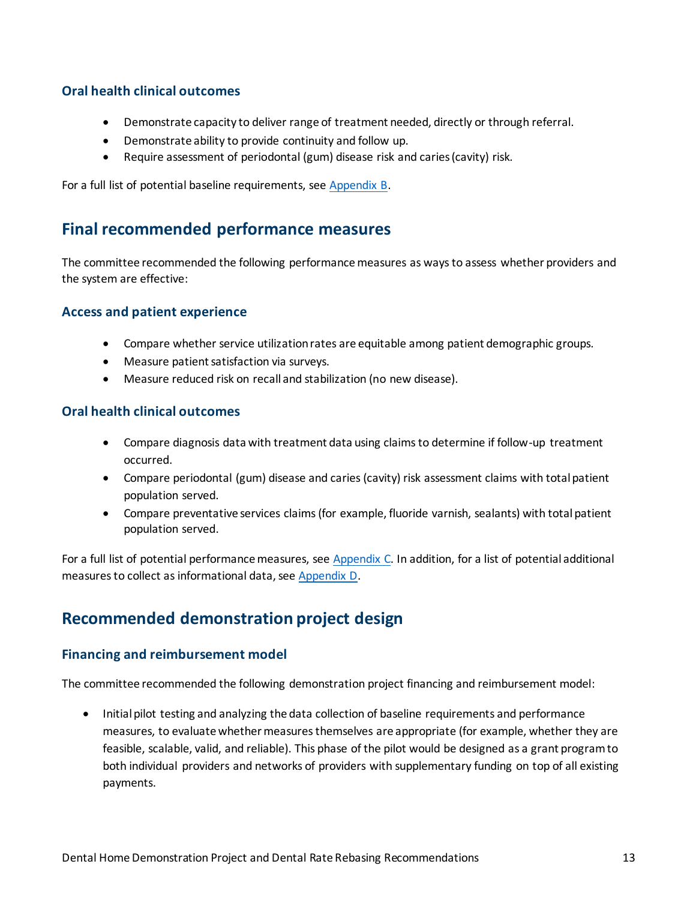### **Oral health clinical outcomes**

- Demonstrate capacity to deliver range of treatment needed, directly or through referral.
- Demonstrate ability to provide continuity and follow up.
- Require assessment of periodontal (gum) disease risk and caries (cavity) risk.

For a full list of potential baseline requirements, se[e Appendix B.](#page-20-0)

### <span id="page-12-0"></span>**Final recommended performance measures**

The committee recommended the following performance measures as ways to assess whether providers and the system are effective:

### **Access and patient experience**

- Compare whether service utilization rates are equitable among patient demographic groups.
- Measure patient satisfaction via surveys.
- Measure reduced risk on recall and stabilization (no new disease).

### **Oral health clinical outcomes**

- Compare diagnosis data with treatment data using claims to determine if follow-up treatment occurred.
- Compare periodontal (gum) disease and caries (cavity) risk assessment claims with total patient population served.
- Compare preventative services claims (for example, fluoride varnish, sealants) with total patient population served.

For a full list of potential performance measures, se[e Appendix C.](#page-21-0) In addition, for a list of potential additional measures to collect as informational data, se[e Appendix D.](#page-21-1)

## <span id="page-12-1"></span>**Recommended demonstration project design**

### **Financing and reimbursement model**

The committee recommended the following demonstration project financing and reimbursement model:

• Initial pilot testing and analyzing the data collection of baseline requirements and performance measures, to evaluate whether measures themselves are appropriate (for example, whether they are feasible, scalable, valid, and reliable). This phase of the pilot would be designed as a grant program to both individual providers and networks of providers with supplementary funding on top of all existing payments.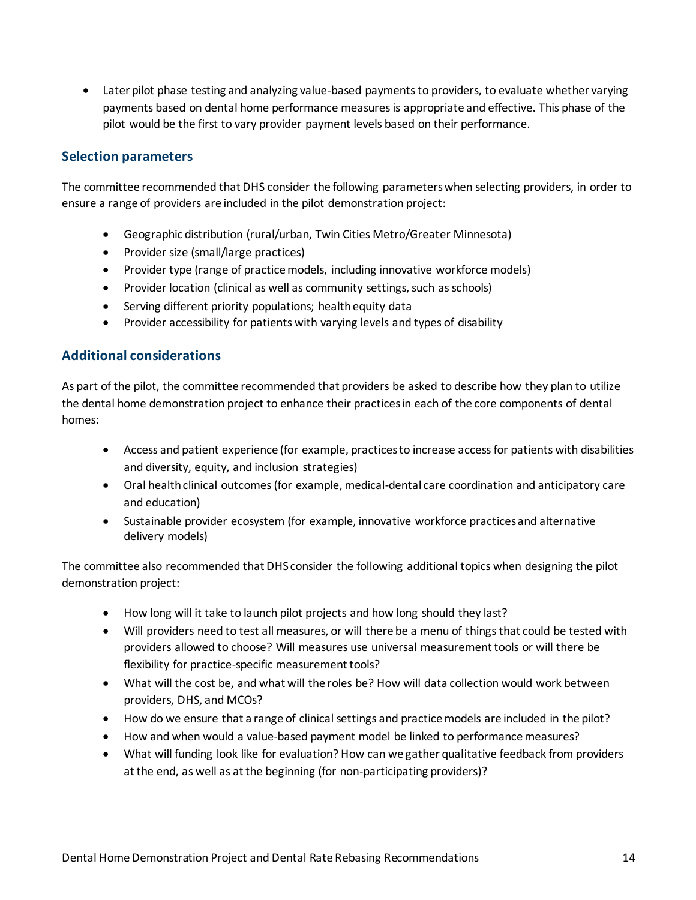Later pilot phase testing and analyzing value-based payments to providers, to evaluate whether varying payments based on dental home performance measures is appropriate and effective. This phase of the pilot would be the first to vary provider payment levels based on their performance.

### **Selection parameters**

The committee recommended that DHS consider the following parameters when selecting providers, in order to ensure a range of providers are included in the pilot demonstration project:

- Geographic distribution (rural/urban, Twin Cities Metro/Greater Minnesota)
- Provider size (small/large practices)
- Provider type (range of practice models, including innovative workforce models)
- Provider location (clinical as well as community settings, such as schools)
- Serving different priority populations; health equity data
- Provider accessibility for patients with varying levels and types of disability

### <span id="page-13-0"></span>**Additional considerations**

As part of the pilot, the committee recommended that providers be asked to describe how they plan to utilize the dental home demonstration project to enhance their practices in each of the core components of dental homes:

- Access and patient experience (for example, practices to increase access for patients with disabilities and diversity, equity, and inclusion strategies)
- Oral health clinical outcomes (for example, medical-dental care coordination and anticipatory care and education)
- Sustainable provider ecosystem (for example, innovative workforce practices and alternative delivery models)

The committee also recommended that DHS consider the following additional topics when designing the pilot demonstration project:

- How long will it take to launch pilot projects and how long should they last?
- Will providers need to test all measures, or will there be a menu of things that could be tested with providers allowed to choose? Will measures use universal measurement tools or will there be flexibility for practice-specific measurement tools?
- What will the cost be, and what will the roles be? How will data collection would work between providers, DHS, and MCOs?
- How do we ensure that a range of clinical settings and practice models are included in the pilot?
- How and when would a value-based payment model be linked to performance measures?
- What will funding look like for evaluation? How can we gather qualitative feedback from providers at the end, as well as at the beginning (for non-participating providers)?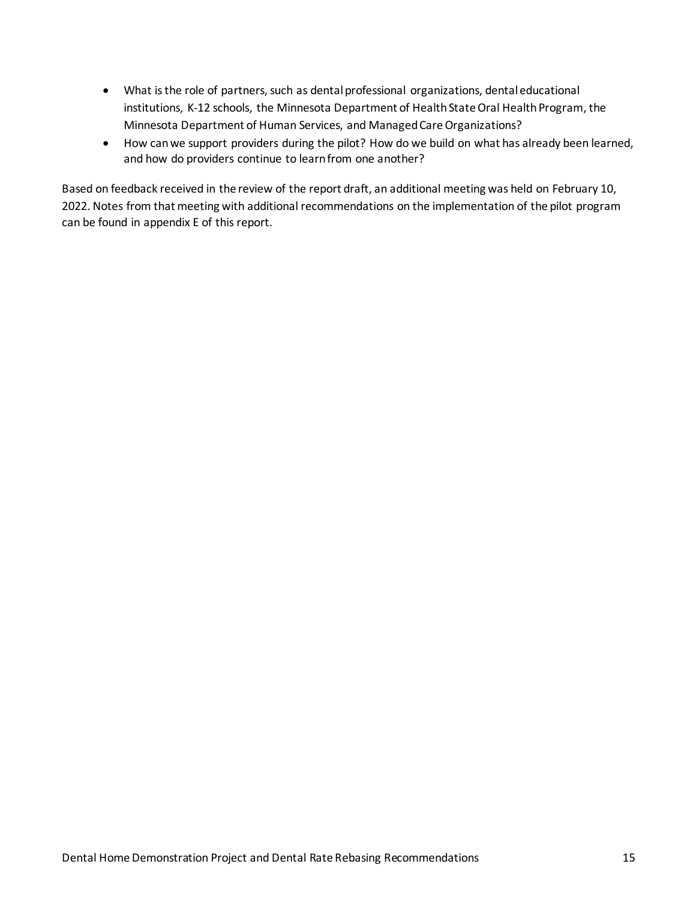- What is the role of partners, such as dental professional organizations, dental educational institutions, K-12 schools, the Minnesota Department of Health State Oral Health Program, the Minnesota Department of Human Services, and Managed Care Organizations?
- How can we support providers during the pilot? How do we build on what has already been learned, and how do providers continue to learn from one another?

Based on feedback received in the review of the report draft, an additional meeting was held on February 10, 2022. Notes from that meeting with additional recommendations on the implementation of the pilot program can be found in appendix E of this report.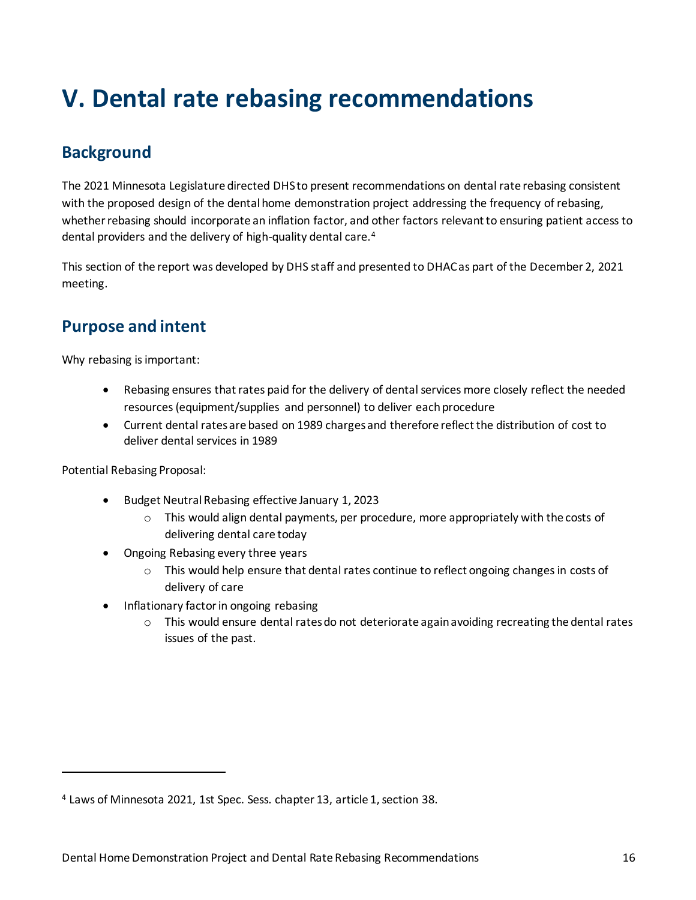## <span id="page-15-0"></span>**V. Dental rate rebasing recommendations**

## <span id="page-15-1"></span>**Background**

The 2021 Minnesota Legislature directed DHS to present recommendations on dental rate rebasing consistent with the proposed design of the dental home demonstration project addressing the frequency of rebasing, whether rebasing should incorporate an inflation factor, and other factors relevant to ensuring patient access to dental providers and the delivery of high-quality dental care.<sup>4</sup>

This section of the report was developed by DHS staff and presented to DHAC as part of the December 2, 2021 meeting.

## <span id="page-15-2"></span>**Purpose and intent**

Why rebasing is important:

- Rebasing ensures that rates paid for the delivery of dental services more closely reflect the needed resources (equipment/supplies and personnel) to deliver each procedure
- Current dental rates are based on 1989 charges and therefore reflect the distribution of cost to deliver dental services in 1989

Potential Rebasing Proposal:

1

- Budget Neutral Rebasing effective January 1, 2023
	- $\circ$  This would align dental payments, per procedure, more appropriately with the costs of delivering dental care today
- Ongoing Rebasing every three years
	- o This would help ensure that dental rates continue to reflect ongoing changes in costs of delivery of care
- Inflationary factor in ongoing rebasing
	- $\circ$  This would ensure dental rates do not deteriorate again avoiding recreating the dental rates issues of the past.

<sup>4</sup> Laws of Minnesota 2021, 1st Spec. Sess. chapter 13, article 1, section 38.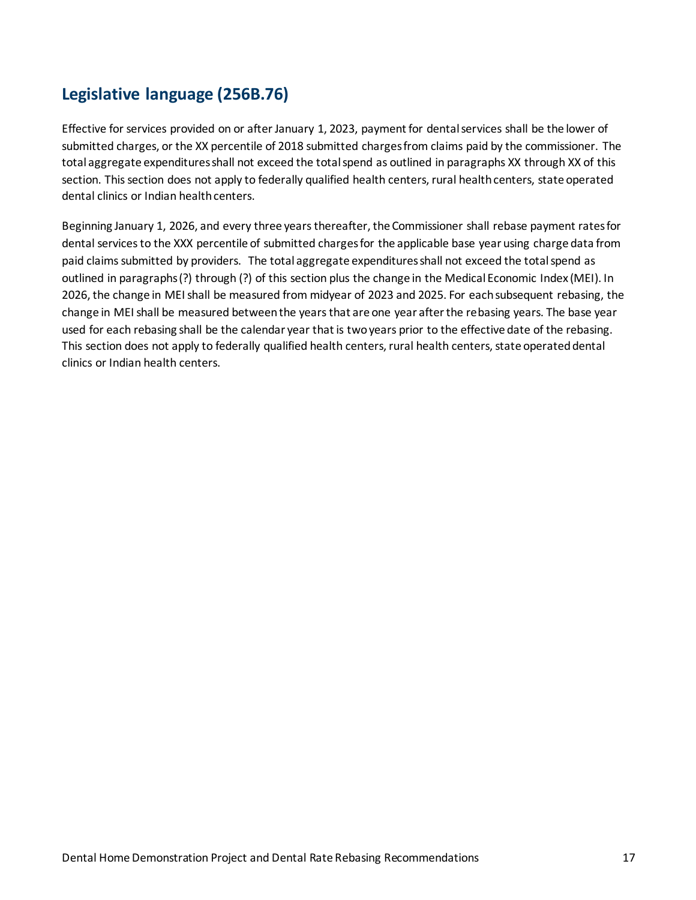## <span id="page-16-0"></span>**Legislative language (256B.76)**

Effective for services provided on or after January 1, 2023, payment for dental services shall be the lower of submitted charges, or the XX percentile of 2018 submitted charges from claims paid by the commissioner. The total aggregate expenditures shall not exceed the total spend as outlined in paragraphs XX through XX of this section. This section does not apply to federally qualified health centers, rural health centers, state operated dental clinics or Indian health centers.

Beginning January 1, 2026, and every three years thereafter, the Commissioner shall rebase payment rates for dental services to the XXX percentile of submitted charges for the applicable base year using charge data from paid claims submitted by providers. The total aggregate expenditures shall not exceed the total spend as outlined in paragraphs (?) through (?) of this section plus the change in the Medical Economic Index (MEI). In 2026, the change in MEI shall be measured from midyear of 2023 and 2025. For each subsequent rebasing, the change in MEI shall be measured between the years that are one year after the rebasing years. The base year used for each rebasing shall be the calendar year that is two years prior to the effective date of the rebasing. This section does not apply to federally qualified health centers, rural health centers, state operated dental clinics or Indian health centers.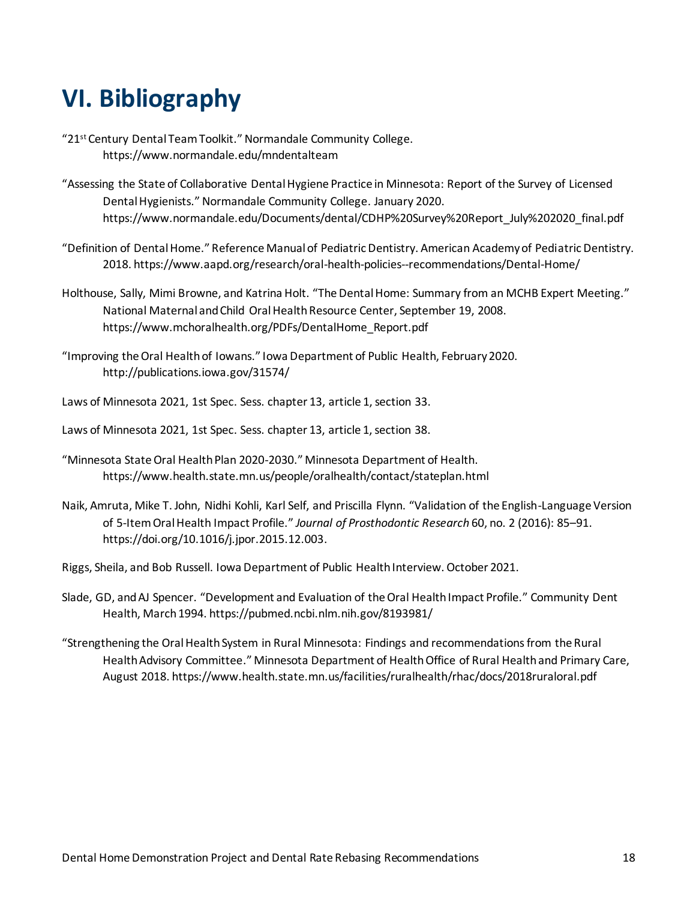## <span id="page-17-0"></span>**VI. Bibliography**

- "21st Century Dental Team Toolkit." Normandale Community College. https://www.normandale.edu/mndentalteam
- "Assessing the State of Collaborative Dental Hygiene Practice in Minnesota: Report of the Survey of Licensed Dental Hygienists." Normandale Community College. January 2020. https://www.normandale.edu/Documents/dental/CDHP%20Survey%20Report\_July%202020\_final.pdf
- "Definition of Dental Home." Reference Manual of Pediatric Dentistry. American Academy of Pediatric Dentistry. 2018. https://www.aapd.org/research/oral-health-policies--recommendations/Dental-Home/
- Holthouse, Sally, Mimi Browne, and Katrina Holt. "The Dental Home: Summary from an MCHB Expert Meeting." National Maternal and Child Oral Health Resource Center, September 19, 2008. https://www.mchoralhealth.org/PDFs/DentalHome\_Report.pdf
- "Improving the Oral Health of Iowans." Iowa Department of Public Health, February 2020. http://publications.iowa.gov/31574/
- Laws of Minnesota 2021, 1st Spec. Sess. chapter 13, article 1, section 33.
- Laws of Minnesota 2021, 1st Spec. Sess. chapter 13, article 1, section 38.
- "Minnesota State Oral Health Plan 2020-2030." Minnesota Department of Health. https://www.health.state.mn.us/people/oralhealth/contact/stateplan.html
- Naik, Amruta, Mike T. John, Nidhi Kohli, Karl Self, and Priscilla Flynn. "Validation of the English-Language Version of 5-Item Oral Health Impact Profile." *Journal of Prosthodontic Research* 60, no. 2 (2016): 85–91. https://doi.org/10.1016/j.jpor.2015.12.003.
- Riggs, Sheila, and Bob Russell. Iowa Department of Public Health Interview. October 2021.
- Slade, GD, and AJ Spencer. "Development and Evaluation of the Oral Health Impact Profile." Community Dent Health, March 1994. https://pubmed.ncbi.nlm.nih.gov/8193981/
- "Strengthening the Oral Health System in Rural Minnesota: Findings and recommendations from the Rural Health Advisory Committee." Minnesota Department of Health Office of Rural Health and Primary Care, August 2018. https://www.health.state.mn.us/facilities/ruralhealth/rhac/docs/2018ruraloral.pdf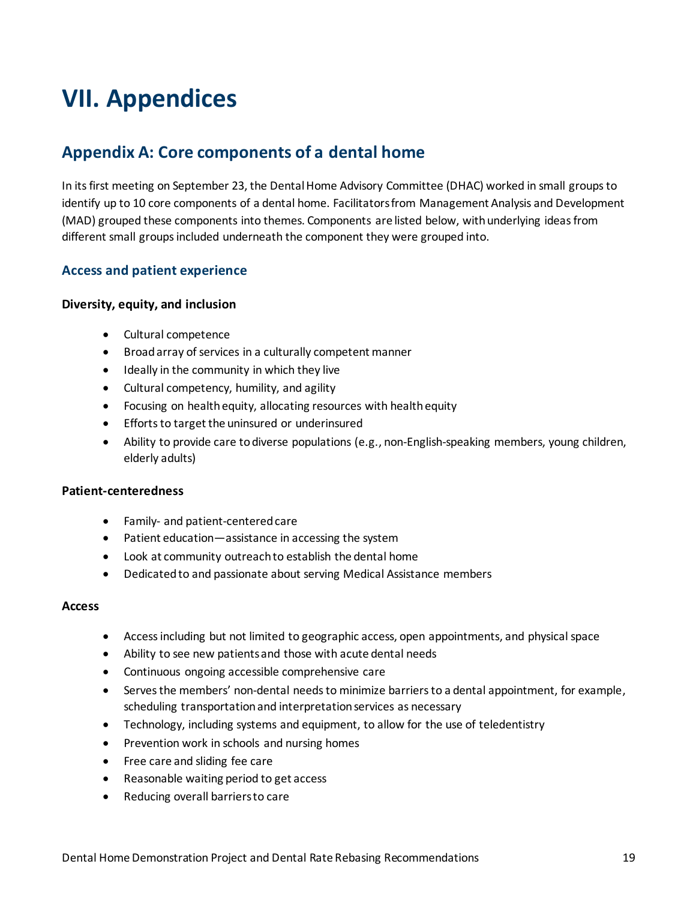## <span id="page-18-0"></span>**VII. Appendices**

## <span id="page-18-1"></span>**Appendix A: Core components of a dental home**

In its first meeting on September 23, the Dental Home Advisory Committee (DHAC) worked in small groups to identify up to 10 core components of a dental home. Facilitators from Management Analysis and Development (MAD) grouped these components into themes. Components are listed below, with underlying ideas from different small groups included underneath the component they were grouped into.

### **Access and patient experience**

#### **Diversity, equity, and inclusion**

- Cultural competence
- Broad array of services in a culturally competent manner
- Ideally in the community in which they live
- Cultural competency, humility, and agility
- Focusing on health equity, allocating resources with health equity
- Efforts to target the uninsured or underinsured
- Ability to provide care to diverse populations (e.g., non-English-speaking members, young children, elderly adults)

#### **Patient-centeredness**

- Family- and patient-centered care
- Patient education—assistance in accessing the system
- Look at community outreach to establish the dental home
- Dedicated to and passionate about serving Medical Assistance members

#### **Access**

- Access including but not limited to geographic access, open appointments, and physical space
- Ability to see new patients and those with acute dental needs
- Continuous ongoing accessible comprehensive care
- Serves the members' non-dental needs to minimize barriers to a dental appointment, for example, scheduling transportation and interpretation services as necessary
- Technology, including systems and equipment, to allow for the use of teledentistry
- Prevention work in schools and nursing homes
- Free care and sliding fee care
- Reasonable waiting period to get access
- Reducing overall barriers to care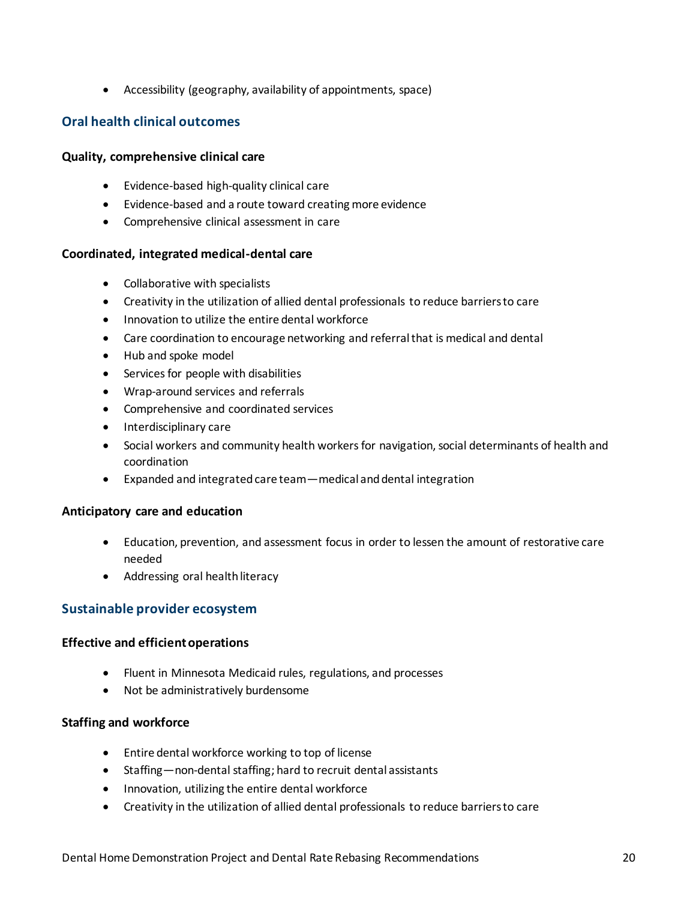Accessibility (geography, availability of appointments, space)

### **Oral health clinical outcomes**

### **Quality, comprehensive clinical care**

- Evidence-based high-quality clinical care
- Evidence-based and a route toward creating more evidence
- Comprehensive clinical assessment in care

### **Coordinated, integrated medical-dental care**

- Collaborative with specialists
- Creativity in the utilization of allied dental professionals to reduce barriers to care
- Innovation to utilize the entire dental workforce
- Care coordination to encourage networking and referral that is medical and dental
- Hub and spoke model
- Services for people with disabilities
- Wrap-around services and referrals
- Comprehensive and coordinated services
- Interdisciplinary care
- Social workers and community health workers for navigation, social determinants of health and coordination
- Expanded and integrated care team—medical and dental integration

#### **Anticipatory care and education**

- Education, prevention, and assessment focus in order to lessen the amount of restorative care needed
- Addressing oral health literacy

### **Sustainable provider ecosystem**

#### **Effective and efficient operations**

- Fluent in Minnesota Medicaid rules, regulations, and processes
- Not be administratively burdensome

### **Staffing and workforce**

- Entire dental workforce working to top of license
- Staffing—non-dental staffing; hard to recruit dental assistants
- Innovation, utilizing the entire dental workforce
- Creativity in the utilization of allied dental professionals to reduce barriers to care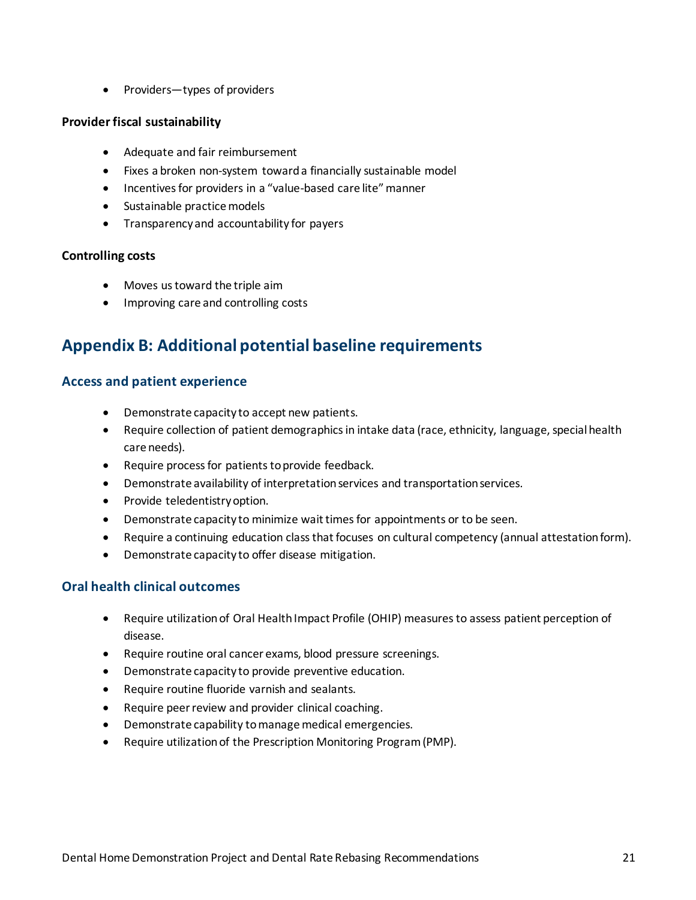• Providers—types of providers

### **Provider fiscal sustainability**

- Adequate and fair reimbursement
- Fixes a broken non-system toward a financially sustainable model
- Incentives for providers in a "value-based care lite" manner
- Sustainable practice models
- Transparency and accountability for payers

### **Controlling costs**

- Moves us toward the triple aim
- Improving care and controlling costs

## <span id="page-20-0"></span>**Appendix B: Additional potential baseline requirements**

### **Access and patient experience**

- Demonstrate capacity to accept new patients.
- Require collection of patient demographics in intake data (race, ethnicity, language, special health care needs).
- Require process for patients to provide feedback.
- Demonstrate availability of interpretation services and transportation services.
- Provide teledentistry option.
- Demonstrate capacity to minimize wait times for appointments or to be seen.
- Require a continuing education class that focuses on cultural competency (annual attestation form).
- Demonstrate capacity to offer disease mitigation.

### **Oral health clinical outcomes**

- Require utilization of Oral Health Impact Profile (OHIP) measures to assess patient perception of disease.
- Require routine oral cancer exams, blood pressure screenings.
- Demonstrate capacity to provide preventive education.
- Require routine fluoride varnish and sealants.
- Require peer review and provider clinical coaching.
- Demonstrate capability to manage medical emergencies.
- Require utilization of the Prescription Monitoring Program (PMP).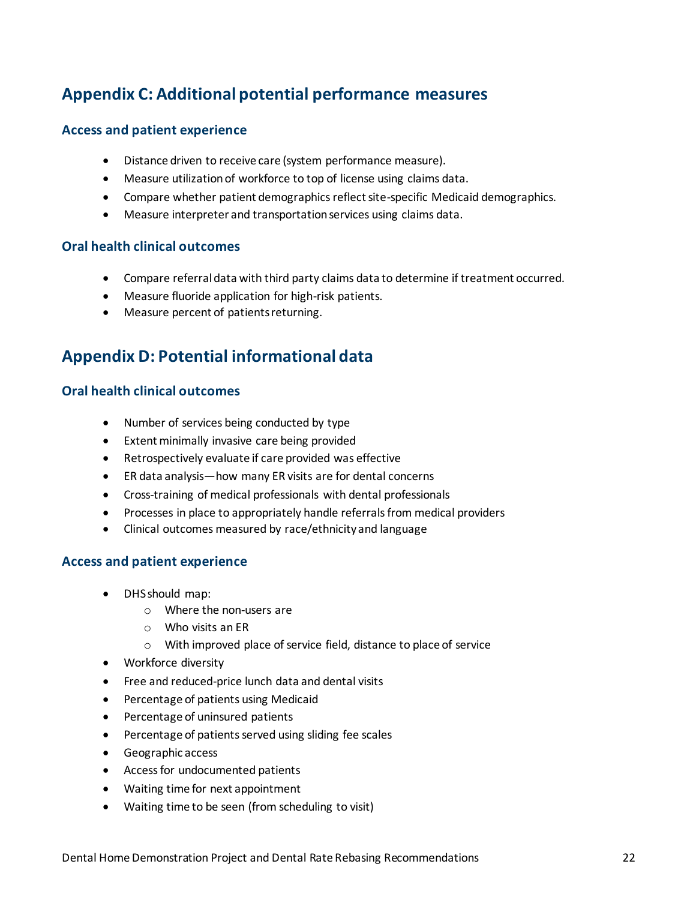## <span id="page-21-0"></span>**Appendix C: Additional potential performance measures**

### **Access and patient experience**

- Distance driven to receive care (system performance measure).
- Measure utilizationof workforce to top of license using claims data.
- Compare whether patient demographics reflect site-specific Medicaid demographics.
- Measure interpreter and transportation services using claims data.

### **Oral health clinical outcomes**

- Compare referral data with third party claims data to determine if treatment occurred.
- Measure fluoride application for high-risk patients.
- Measure percent of patients returning.

## <span id="page-21-1"></span>**Appendix D: Potential informational data**

### **Oral health clinical outcomes**

- Number of services being conducted by type
- Extent minimally invasive care being provided
- Retrospectively evaluate if care provided was effective
- ER data analysis—how many ER visits are for dental concerns
- Cross-training of medical professionals with dental professionals
- Processes in place to appropriately handle referrals from medical providers
- Clinical outcomes measured by race/ethnicity and language

### **Access and patient experience**

- DHS should map:
	- o Where the non-users are
	- o Who visits an ER
	- o With improved place of service field, distance to place of service
- Workforce diversity
- Free and reduced-price lunch data and dental visits
- **•** Percentage of patients using Medicaid
- Percentage of uninsured patients
- Percentage of patients served using sliding fee scales
- Geographic access
- Access for undocumented patients
- Waiting time for next appointment
- Waiting time to be seen (from scheduling to visit)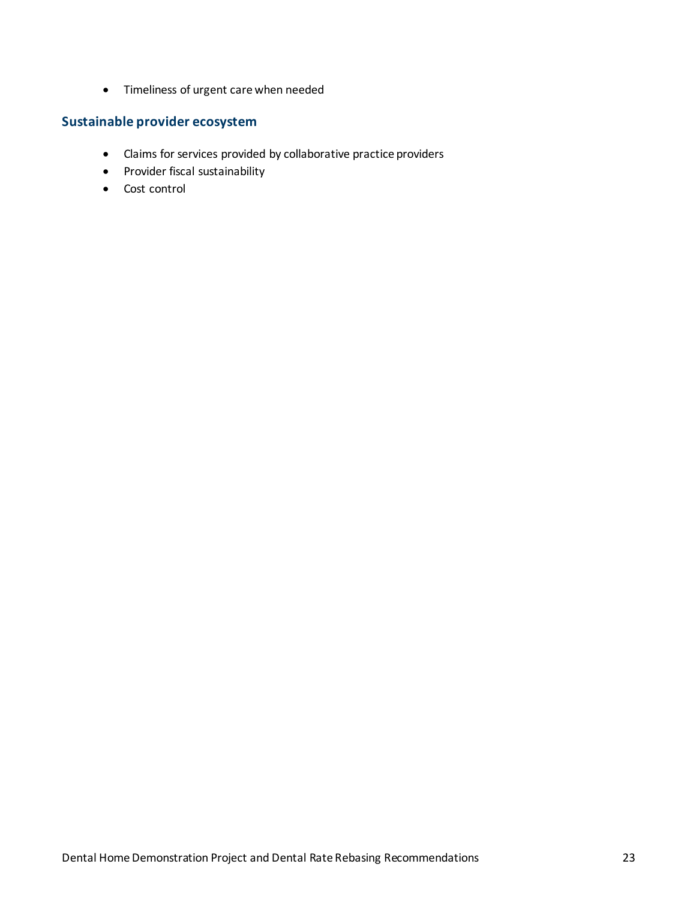Timeliness of urgent care when needed

### **Sustainable provider ecosystem**

- Claims for services provided by collaborative practice providers
- Provider fiscal sustainability
- Cost control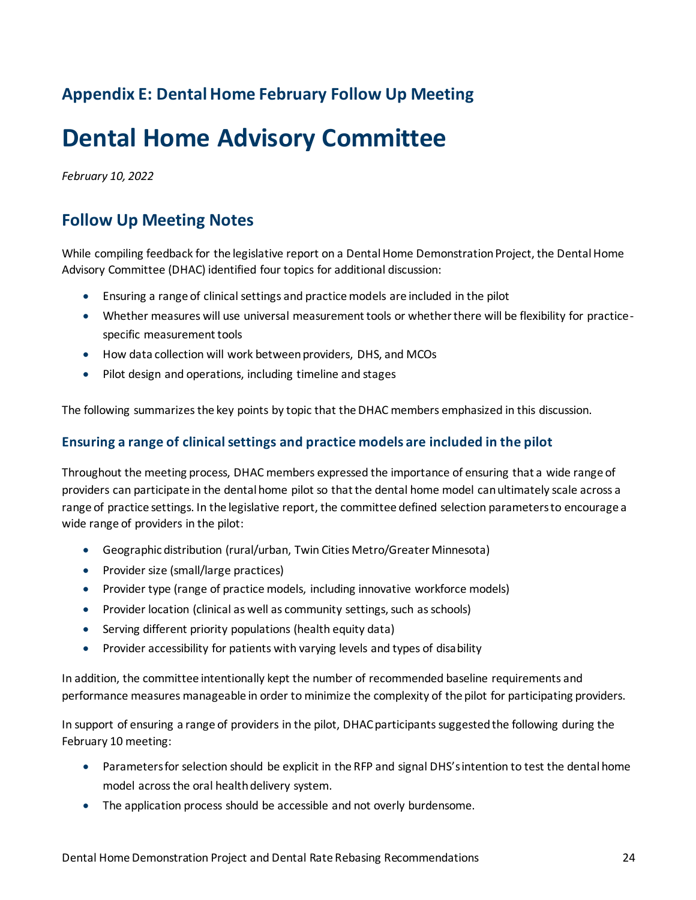## <span id="page-23-0"></span>**Appendix E: Dental Home February Follow Up Meeting**

## **Dental Home Advisory Committee**

*February 10, 2022*

## **Follow Up Meeting Notes**

While compiling feedback for the legislative report on a Dental Home Demonstration Project, the Dental Home Advisory Committee (DHAC) identified four topics for additional discussion:

- Ensuring a range of clinical settings and practice models are included in the pilot
- Whether measures will use universal measurement tools or whether there will be flexibility for practicespecific measurement tools
- How data collection will work between providers, DHS, and MCOs
- Pilot design and operations, including timeline and stages

The following summarizes the key points by topic that the DHAC members emphasized in this discussion.

### **Ensuring a range of clinical settings and practice models are included in the pilot**

Throughout the meeting process, DHAC members expressed the importance of ensuring that a wide range of providers can participate in the dental home pilot so that the dental home model can ultimately scale across a range of practice settings. In the legislative report, the committee defined selection parameters to encourage a wide range of providers in the pilot:

- Geographic distribution (rural/urban, Twin Cities Metro/Greater Minnesota)
- Provider size (small/large practices)
- Provider type (range of practice models, including innovative workforce models)
- Provider location (clinical as well as community settings, such as schools)
- Serving different priority populations (health equity data)
- Provider accessibility for patients with varying levels and types of disability

In addition, the committee intentionally kept the number of recommended baseline requirements and performance measures manageable in order to minimize the complexity of the pilot for participating providers.

In support of ensuring a range of providers in the pilot, DHAC participants suggested the following during the February 10 meeting:

- Parameters for selection should be explicit in the RFP and signal DHS's intention to test the dental home model across the oral health delivery system.
- The application process should be accessible and not overly burdensome.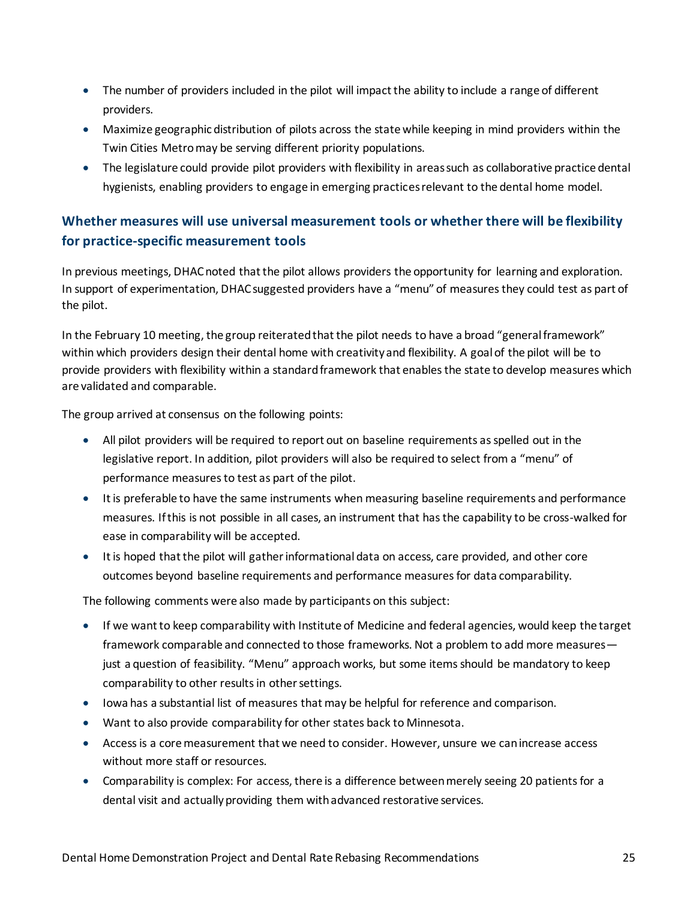- The number of providers included in the pilot will impact the ability to include a range of different providers.
- Maximize geographic distribution of pilots across the state while keeping in mind providers within the Twin Cities Metro may be serving different priority populations.
- The legislature could provide pilot providers with flexibility in areas such as collaborative practice dental hygienists, enabling providers to engage in emerging practices relevant to the dental home model.

### **Whether measures will use universal measurement tools or whether there will be flexibility for practice-specific measurement tools**

In previous meetings, DHAC noted that the pilot allows providers the opportunity for learning and exploration. In support of experimentation, DHAC suggested providers have a "menu" of measures they could test as part of the pilot.

In the February 10 meeting, the group reiterated that the pilot needs to have a broad "general framework" within which providers design their dental home with creativity and flexibility. A goal of the pilot will be to provide providers with flexibility within a standard framework that enables the state to develop measures which are validated and comparable.

The group arrived at consensus on the following points:

- All pilot providers will be required to report out on baseline requirements as spelled out in the legislative report. In addition, pilot providers will also be required to select from a "menu" of performance measures to test as part of the pilot.
- It is preferable to have the same instruments when measuring baseline requirements and performance measures. If this is not possible in all cases, an instrument that has the capability to be cross-walked for ease in comparability will be accepted.
- It is hoped that the pilot will gather informational data on access, care provided, and other core outcomes beyond baseline requirements and performance measures for data comparability.

The following comments were also made by participants on this subject:

- If we want to keep comparability with Institute of Medicine and federal agencies, would keep the target framework comparable and connected to those frameworks. Not a problem to add more measures just a question of feasibility. "Menu" approach works, but some items should be mandatory to keep comparability to other results in other settings.
- Iowa has a substantial list of measures that may be helpful for reference and comparison.
- Want to also provide comparability for other states back to Minnesota.
- Access is a core measurement that we need to consider. However, unsure we can increase access without more staff or resources.
- Comparability is complex: For access, there is a difference between merely seeing 20 patients for a dental visit and actually providing them with advanced restorative services.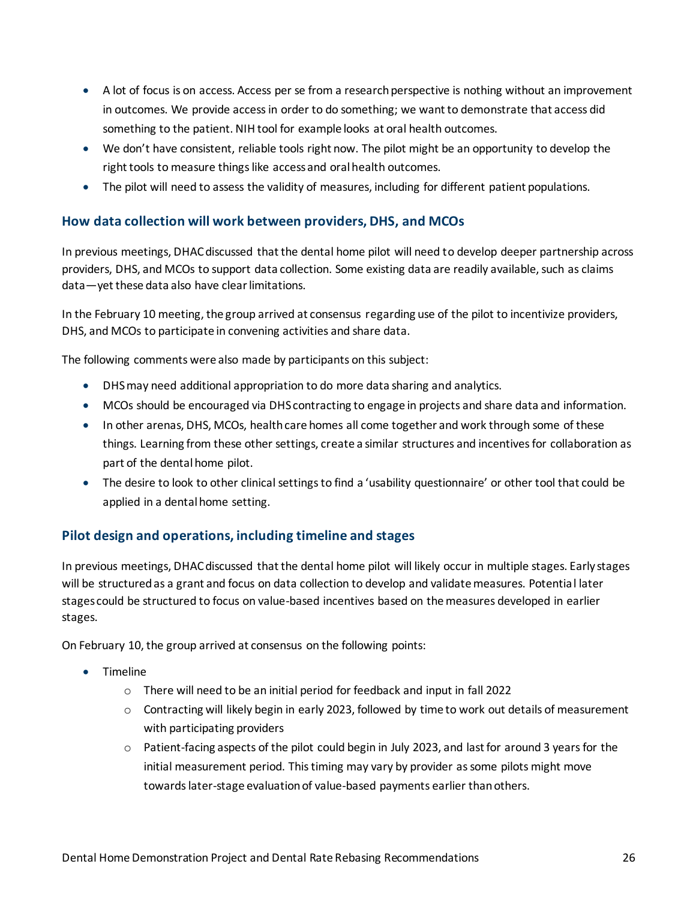- A lot of focus is on access. Access per se from a research perspective is nothing without an improvement in outcomes. We provide access in order to do something; we want to demonstrate that access did something to the patient. NIH tool for example looks at oral health outcomes.
- We don't have consistent, reliable tools right now. The pilot might be an opportunity to develop the right tools to measure things like access and oral health outcomes.
- The pilot will need to assess the validity of measures, including for different patient populations.

### **How data collection will work between providers, DHS, and MCOs**

In previous meetings, DHAC discussed that the dental home pilot will need to develop deeper partnership across providers, DHS, and MCOs to support data collection. Some existing data are readily available, such as claims data—yet these data also have clear limitations.

In the February 10 meeting, the group arrived at consensus regarding use of the pilot to incentivize providers, DHS, and MCOs to participate in convening activities and share data.

The following comments were also made by participants on this subject:

- DHS may need additional appropriation to do more data sharing and analytics.
- MCOs should be encouraged via DHS contracting to engage in projects and share data and information.
- In other arenas, DHS, MCOs, health care homes all come together and work through some of these things. Learning from these other settings, create a similar structures and incentives for collaboration as part of the dental home pilot.
- The desire to look to other clinical settings to find a 'usability questionnaire' or other tool that could be applied in a dental home setting.

### **Pilot design and operations, including timeline and stages**

In previous meetings, DHAC discussed that the dental home pilot will likely occur in multiple stages. Early stages will be structured as a grant and focus on data collection to develop and validate measures. Potential later stages could be structured to focus on value-based incentives based on the measures developed in earlier stages.

On February 10, the group arrived at consensus on the following points:

- Timeline
	- o There will need to be an initial period for feedback and input in fall 2022
	- o Contracting will likely begin in early 2023, followed by time to work out details of measurement with participating providers
	- $\circ$  Patient-facing aspects of the pilot could begin in July 2023, and last for around 3 years for the initial measurement period. This timing may vary by provider as some pilots might move towards later-stage evaluation of value-based payments earlier than others.